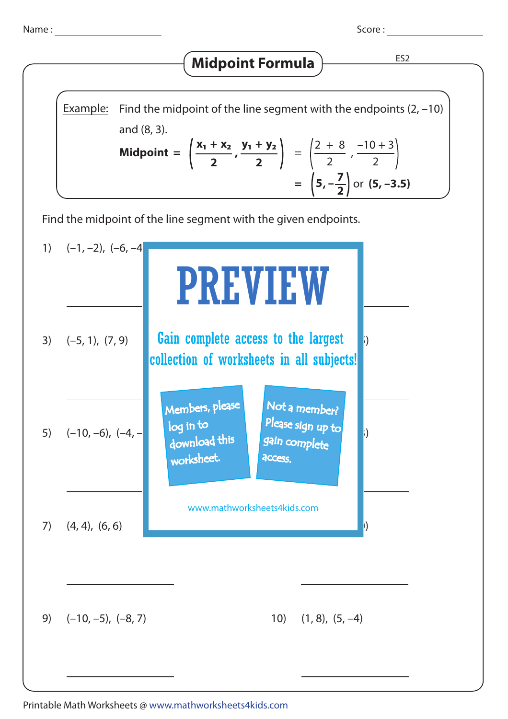